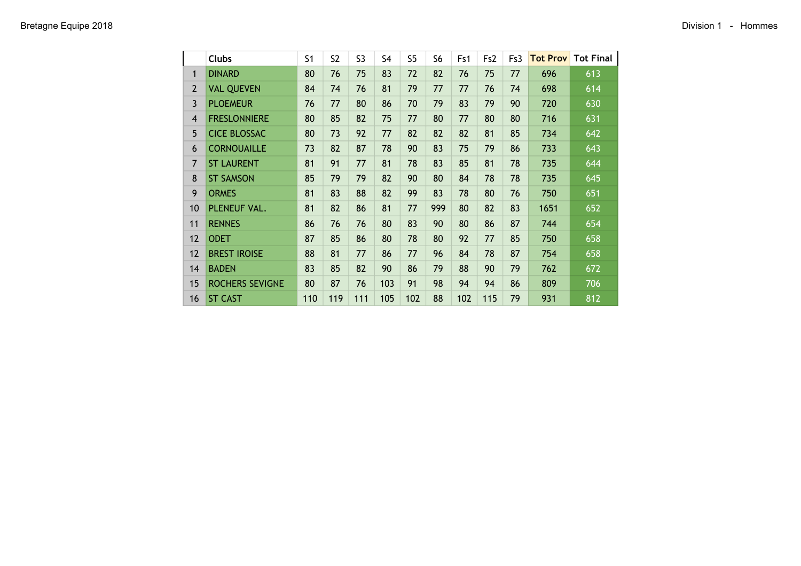|                | <b>Clubs</b>           | S <sub>1</sub> | S <sub>2</sub> | S <sub>3</sub> | S <sub>4</sub> | S <sub>5</sub> | S <sub>6</sub> | Fs1 | Fs <sub>2</sub> | Fs3 | <b>Tot Prov</b> | <b>Tot Final</b> |
|----------------|------------------------|----------------|----------------|----------------|----------------|----------------|----------------|-----|-----------------|-----|-----------------|------------------|
| 1              | <b>DINARD</b>          | 80             | 76             | 75             | 83             | 72             | 82             | 76  | 75              | 77  | 696             | 613              |
| $\overline{2}$ | <b>VAL QUEVEN</b>      | 84             | 74             | 76             | 81             | 79             | 77             | 77  | 76              | 74  | 698             | 614              |
| 3              | <b>PLOEMEUR</b>        | 76             | 77             | 80             | 86             | 70             | 79             | 83  | 79              | 90  | 720             | 630              |
| $\overline{4}$ | <b>FRESLONNIERE</b>    | 80             | 85             | 82             | 75             | 77             | 80             | 77  | 80              | 80  | 716             | 631              |
| 5              | <b>CICE BLOSSAC</b>    | 80             | 73             | 92             | 77             | 82             | 82             | 82  | 81              | 85  | 734             | 642              |
| 6              | <b>CORNOUAILLE</b>     | 73             | 82             | 87             | 78             | 90             | 83             | 75  | 79              | 86  | 733             | 643              |
| $\overline{7}$ | <b>ST LAURENT</b>      | 81             | 91             | 77             | 81             | 78             | 83             | 85  | 81              | 78  | 735             | 644              |
| 8              | <b>ST SAMSON</b>       | 85             | 79             | 79             | 82             | 90             | 80             | 84  | 78              | 78  | 735             | 645              |
| 9              | <b>ORMES</b>           | 81             | 83             | 88             | 82             | 99             | 83             | 78  | 80              | 76  | 750             | 651              |
| 10             | PLENEUF VAL.           | 81             | 82             | 86             | 81             | 77             | 999            | 80  | 82              | 83  | 1651            | 652              |
| 11             | <b>RENNES</b>          | 86             | 76             | 76             | 80             | 83             | 90             | 80  | 86              | 87  | 744             | 654              |
| 12             | <b>ODET</b>            | 87             | 85             | 86             | 80             | 78             | 80             | 92  | 77              | 85  | 750             | 658              |
| 12             | <b>BREST IROISE</b>    | 88             | 81             | 77             | 86             | 77             | 96             | 84  | 78              | 87  | 754             | 658              |
| 14             | <b>BADEN</b>           | 83             | 85             | 82             | 90             | 86             | 79             | 88  | 90              | 79  | 762             | 672              |
| 15             | <b>ROCHERS SEVIGNE</b> | 80             | 87             | 76             | 103            | 91             | 98             | 94  | 94              | 86  | 809             | 706              |
| 16             | <b>ST CAST</b>         | 110            | 119            | 111            | 105            | 102            | 88             | 102 | 115             | 79  | 931             | 812              |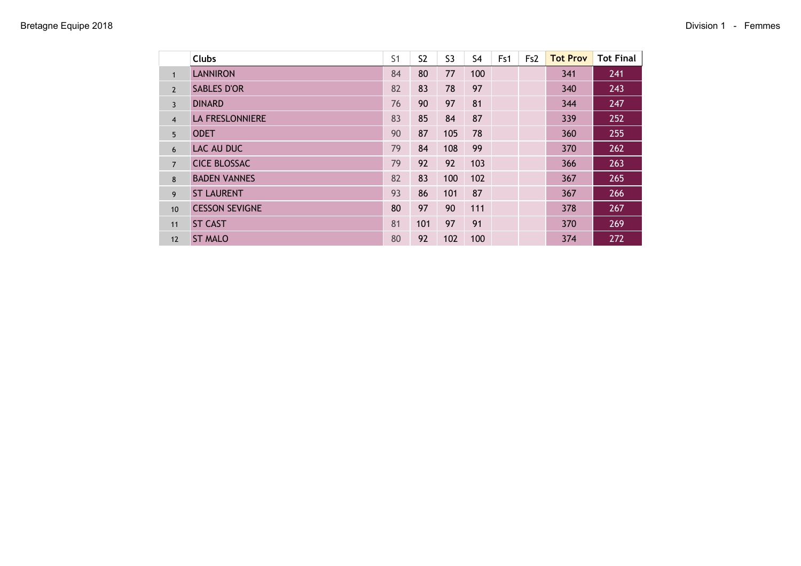|                | <b>Clubs</b>           | S <sub>1</sub> | S <sub>2</sub> | S <sub>3</sub> | S4  | Fs1 | Fs <sub>2</sub> | <b>Tot Prov</b> | <b>Tot Final</b> |
|----------------|------------------------|----------------|----------------|----------------|-----|-----|-----------------|-----------------|------------------|
| $\mathbf{1}$   | <b>LANNIRON</b>        | 84             | 80             | 77             | 100 |     |                 | 341             | 241              |
| $\overline{2}$ | <b>SABLES D'OR</b>     | 82             | 83             | 78             | 97  |     |                 | 340             | 243              |
| $\overline{3}$ | <b>DINARD</b>          | 76             | 90             | 97             | 81  |     |                 | 344             | 247              |
| $\overline{4}$ | <b>LA FRESLONNIERE</b> | 83             | 85             | 84             | 87  |     |                 | 339             | 252              |
| 5              | <b>ODET</b>            | 90             | 87             | 105            | 78  |     |                 | 360             | 255              |
| 6              | LAC AU DUC             | 79             | 84             | 108            | 99  |     |                 | 370             | 262              |
| $\overline{7}$ | <b>CICE BLOSSAC</b>    | 79             | 92             | 92             | 103 |     |                 | 366             | 263              |
| 8              | <b>BADEN VANNES</b>    | 82             | 83             | 100            | 102 |     |                 | 367             | 265              |
| 9              | <b>ST LAURENT</b>      | 93             | 86             | 101            | 87  |     |                 | 367             | 266              |
| 10             | <b>CESSON SEVIGNE</b>  | 80             | 97             | 90             | 111 |     |                 | 378             | 267              |
| 11             | <b>ST CAST</b>         | 81             | 101            | 97             | 91  |     |                 | 370             | 269              |
| 12             | <b>ST MALO</b>         | 80             | 92             | 102            | 100 |     |                 | 374             | 272              |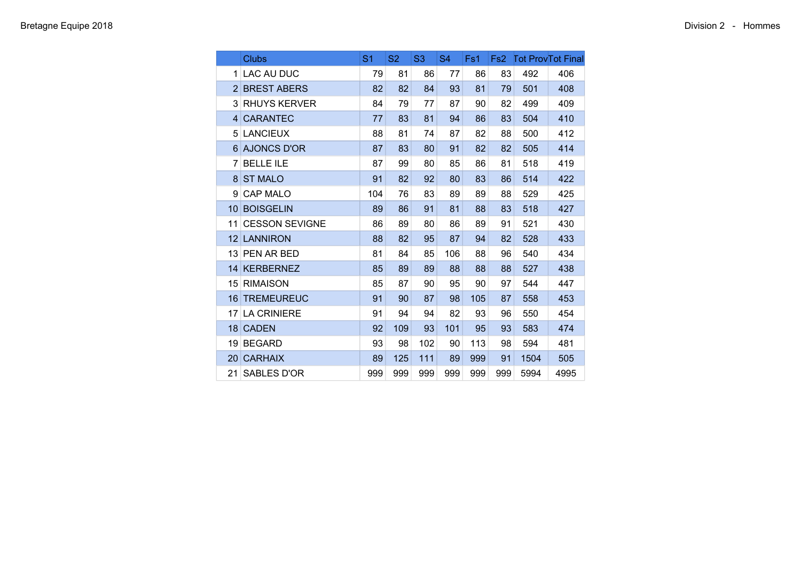| Clubs                 | S1  | <b>S2</b> | S <sub>3</sub> | S <sub>4</sub> | Fs1 | Fs <sub>2</sub> |      | <b>Tot ProvTot Final</b> |
|-----------------------|-----|-----------|----------------|----------------|-----|-----------------|------|--------------------------|
| 1 LAC AU DUC          | 79  | 81        | 86             | 77             | 86  | 83              | 492  | 406                      |
| 2 BREST ABERS         | 82  | 82        | 84             | 93             | 81  | 79              | 501  | 408                      |
| <b>3 RHUYS KERVER</b> | 84  | 79        | 77             | 87             | 90  | 82              | 499  | 409                      |
| 4 CARANTEC            | 77  | 83        | 81             | 94             | 86  | 83              | 504  | 410                      |
| 5 LANCIEUX            | 88  | 81        | 74             | 87             | 82  | 88              | 500  | 412                      |
| 6 AJONCS D'OR         | 87  | 83        | 80             | 91             | 82  | 82              | 505  | 414                      |
| 7 BELLE ILE           | 87  | 99        | 80             | 85             | 86  | 81              | 518  | 419                      |
| 8 ST MALO             | 91  | 82        | 92             | 80             | 83  | 86              | 514  | 422                      |
| 9 CAP MALO            | 104 | 76        | 83             | 89             | 89  | 88              | 529  | 425                      |
| 10 BOISGELIN          | 89  | 86        | 91             | 81             | 88  | 83              | 518  | 427                      |
| 11 CESSON SEVIGNE     | 86  | 89        | 80             | 86             | 89  | 91              | 521  | 430                      |
| 12 LANNIRON           | 88  | 82        | 95             | 87             | 94  | 82              | 528  | 433                      |
| 13 PEN AR BED         | 81  | 84        | 85             | 106            | 88  | 96              | 540  | 434                      |
| 14 KERBERNEZ          | 85  | 89        | 89             | 88             | 88  | 88              | 527  | 438                      |
| 15 RIMAISON           | 85  | 87        | 90             | 95             | 90  | 97              | 544  | 447                      |
| 16 TREMEUREUC         | 91  | 90        | 87             | 98             | 105 | 87              | 558  | 453                      |
| 17 LA CRINIERE        | 91  | 94        | 94             | 82             | 93  | 96              | 550  | 454                      |
| 18 CADEN              | 92  | 109       | 93             | 101            | 95  | 93              | 583  | 474                      |
| 19 BEGARD             | 93  | 98        | 102            | 90             | 113 | 98              | 594  | 481                      |
| 20 CARHAIX            | 89  | 125       | 111            | 89             | 999 | 91              | 1504 | 505                      |
| 21 SABLES D'OR        | 999 | 999       | 999            | 999            | 999 | 999             | 5994 | 4995                     |